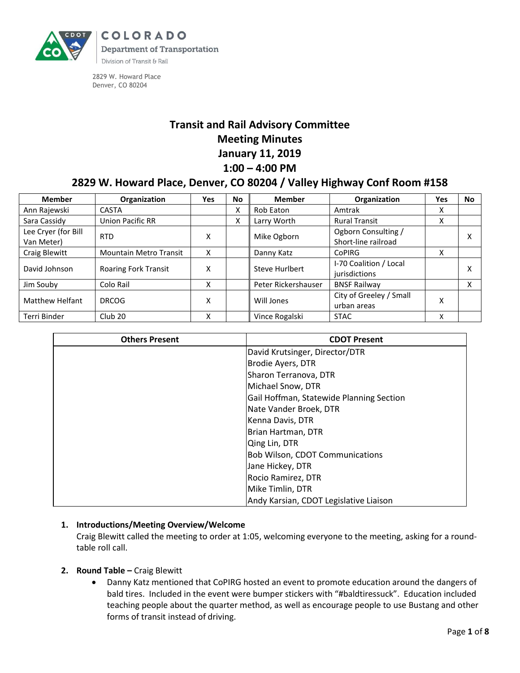

COLORADO **Department of Transportation** Division of Transit & Rail

2829 W. Howard Place Denver, CO 80204

# **Transit and Rail Advisory Committee Meeting Minutes January 11, 2019 1:00 – 4:00 PM**

## **2829 W. Howard Place, Denver, CO 80204 / Valley Highway Conf Room #158**

| <b>Member</b>                     | Organization                  | Yes | <b>No</b> | <b>Member</b>       | Organization                               | Yes | <b>No</b> |
|-----------------------------------|-------------------------------|-----|-----------|---------------------|--------------------------------------------|-----|-----------|
| Ann Rajewski                      | CASTA                         |     | Χ         | <b>Rob Eaton</b>    | Amtrak                                     | x   |           |
| Sara Cassidy                      | <b>Union Pacific RR</b>       |     | х         | Larry Worth         | <b>Rural Transit</b>                       | x   |           |
| Lee Cryer (for Bill<br>Van Meter) | <b>RTD</b>                    | х   |           | Mike Ogborn         | Ogborn Consulting /<br>Short-line railroad |     | x         |
| Craig Blewitt                     | <b>Mountain Metro Transit</b> | x   |           | Danny Katz          | <b>CoPIRG</b>                              | X   |           |
| David Johnson                     | <b>Roaring Fork Transit</b>   | x   |           | Steve Hurlbert      | I-70 Coalition / Local<br>jurisdictions    |     | x         |
| Jim Souby                         | Colo Rail                     | x   |           | Peter Rickershauser | <b>BNSF Railway</b>                        |     | X         |
| <b>Matthew Helfant</b>            | <b>DRCOG</b>                  | Χ   |           | Will Jones          | City of Greeley / Small<br>urban areas     | Χ   |           |
| Terri Binder                      | Club <sub>20</sub>            | x   |           | Vince Rogalski      | <b>STAC</b>                                | x   |           |

| <b>Others Present</b> | <b>CDOT Present</b>                      |  |  |
|-----------------------|------------------------------------------|--|--|
|                       | David Krutsinger, Director/DTR           |  |  |
|                       | Brodie Ayers, DTR                        |  |  |
|                       | Sharon Terranova, DTR                    |  |  |
|                       | Michael Snow, DTR                        |  |  |
|                       | Gail Hoffman, Statewide Planning Section |  |  |
|                       | Nate Vander Broek, DTR                   |  |  |
|                       | Kenna Davis, DTR                         |  |  |
|                       | Brian Hartman, DTR                       |  |  |
|                       | Qing Lin, DTR                            |  |  |
|                       | <b>Bob Wilson, CDOT Communications</b>   |  |  |
|                       | Jane Hickey, DTR                         |  |  |
|                       | Rocio Ramirez, DTR                       |  |  |
|                       | Mike Timlin, DTR                         |  |  |
|                       | Andy Karsian, CDOT Legislative Liaison   |  |  |

## **1. Introductions/Meeting Overview/Welcome**

Craig Blewitt called the meeting to order at 1:05, welcoming everyone to the meeting, asking for a roundtable roll call.

## **2. Round Table –** Craig Blewitt

 Danny Katz mentioned that CoPIRG hosted an event to promote education around the dangers of bald tires. Included in the event were bumper stickers with "#baldtiressuck". Education included teaching people about the quarter method, as well as encourage people to use Bustang and other forms of transit instead of driving.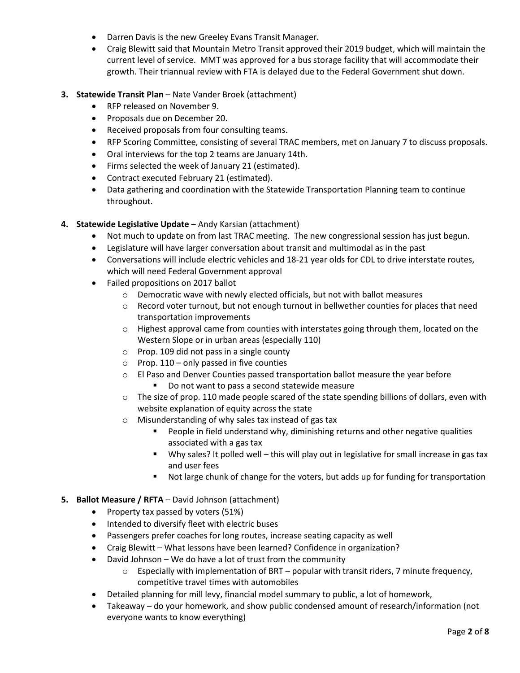- Darren Davis is the new Greeley Evans Transit Manager.
- Craig Blewitt said that Mountain Metro Transit approved their 2019 budget, which will maintain the current level of service. MMT was approved for a bus storage facility that will accommodate their growth. Their triannual review with FTA is delayed due to the Federal Government shut down.

### **3. Statewide Transit Plan** – Nate Vander Broek (attachment)

- RFP released on November 9.
- Proposals due on December 20.
- Received proposals from four consulting teams.
- RFP Scoring Committee, consisting of several TRAC members, met on January 7 to discuss proposals.
- Oral interviews for the top 2 teams are January 14th.
- Firms selected the week of January 21 (estimated).
- Contract executed February 21 (estimated).
- Data gathering and coordination with the Statewide Transportation Planning team to continue throughout.

#### **4. Statewide Legislative Update** – Andy Karsian (attachment)

- Not much to update on from last TRAC meeting. The new congressional session has just begun.
- Legislature will have larger conversation about transit and multimodal as in the past
- Conversations will include electric vehicles and 18-21 year olds for CDL to drive interstate routes, which will need Federal Government approval
- Failed propositions on 2017 ballot
	- o Democratic wave with newly elected officials, but not with ballot measures
	- $\circ$  Record voter turnout, but not enough turnout in bellwether counties for places that need transportation improvements
	- $\circ$  Highest approval came from counties with interstates going through them, located on the Western Slope or in urban areas (especially 110)
	- o Prop. 109 did not pass in a single county
	- $\circ$  Prop. 110 only passed in five counties
	- o El Paso and Denver Counties passed transportation ballot measure the year before
		- Do not want to pass a second statewide measure
	- $\circ$  The size of prop. 110 made people scared of the state spending billions of dollars, even with website explanation of equity across the state
	- o Misunderstanding of why sales tax instead of gas tax
		- People in field understand why, diminishing returns and other negative qualities associated with a gas tax
		- Why sales? It polled well this will play out in legislative for small increase in gas tax and user fees
		- Not large chunk of change for the voters, but adds up for funding for transportation

#### **5. Ballot Measure / RFTA** – David Johnson (attachment)

- Property tax passed by voters (51%)
- Intended to diversify fleet with electric buses
- Passengers prefer coaches for long routes, increase seating capacity as well
- Craig Blewitt What lessons have been learned? Confidence in organization?
- David Johnson We do have a lot of trust from the community
	- $\circ$  Especially with implementation of BRT popular with transit riders, 7 minute frequency, competitive travel times with automobiles
- Detailed planning for mill levy, financial model summary to public, a lot of homework,
- Takeaway do your homework, and show public condensed amount of research/information (not everyone wants to know everything)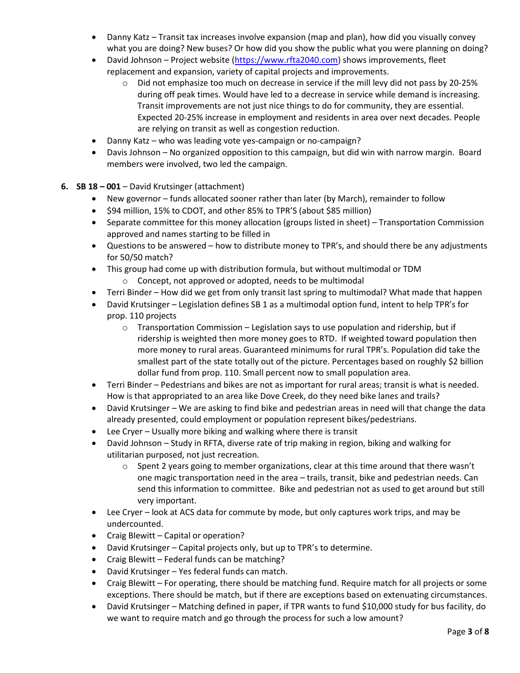- Danny Katz Transit tax increases involve expansion (map and plan), how did you visually convey what you are doing? New buses? Or how did you show the public what you were planning on doing?
- David Johnson Project website [\(https://www.rfta2040.com\)](https://www.rfta2040.com/) shows improvements, fleet replacement and expansion, variety of capital projects and improvements.
	- o Did not emphasize too much on decrease in service if the mill levy did not pass by 20-25% during off peak times. Would have led to a decrease in service while demand is increasing. Transit improvements are not just nice things to do for community, they are essential. Expected 20-25% increase in employment and residents in area over next decades. People are relying on transit as well as congestion reduction.
- Danny Katz who was leading vote yes-campaign or no-campaign?
- Davis Johnson No organized opposition to this campaign, but did win with narrow margin. Board members were involved, two led the campaign.
- **6. SB 18 – 001**  David Krutsinger (attachment)
	- New governor funds allocated sooner rather than later (by March), remainder to follow
	- $\bullet$  \$94 million, 15% to CDOT, and other 85% to TPR'S (about \$85 million)
	- Separate committee for this money allocation (groups listed in sheet) Transportation Commission approved and names starting to be filled in
	- Questions to be answered how to distribute money to TPR's, and should there be any adjustments for 50/50 match?
	- This group had come up with distribution formula, but without multimodal or TDM o Concept, not approved or adopted, needs to be multimodal
	- Terri Binder How did we get from only transit last spring to multimodal? What made that happen
	- David Krutsinger Legislation defines SB 1 as a multimodal option fund, intent to help TPR's for prop. 110 projects
		- $\circ$  Transportation Commission Legislation says to use population and ridership, but if ridership is weighted then more money goes to RTD. If weighted toward population then more money to rural areas. Guaranteed minimums for rural TPR's. Population did take the smallest part of the state totally out of the picture. Percentages based on roughly \$2 billion dollar fund from prop. 110. Small percent now to small population area.
	- Terri Binder Pedestrians and bikes are not as important for rural areas; transit is what is needed. How is that appropriated to an area like Dove Creek, do they need bike lanes and trails?
	- David Krutsinger We are asking to find bike and pedestrian areas in need will that change the data already presented, could employment or population represent bikes/pedestrians.
	- Lee Cryer Usually more biking and walking where there is transit
	- David Johnson Study in RFTA, diverse rate of trip making in region, biking and walking for utilitarian purposed, not just recreation.
		- $\circ$  Spent 2 years going to member organizations, clear at this time around that there wasn't one magic transportation need in the area – trails, transit, bike and pedestrian needs. Can send this information to committee. Bike and pedestrian not as used to get around but still very important.
	- Lee Cryer look at ACS data for commute by mode, but only captures work trips, and may be undercounted.
	- Craig Blewitt Capital or operation?
	- David Krutsinger Capital projects only, but up to TPR's to determine.
	- Craig Blewitt Federal funds can be matching?
	- David Krutsinger Yes federal funds can match.
	- Craig Blewitt For operating, there should be matching fund. Require match for all projects or some exceptions. There should be match, but if there are exceptions based on extenuating circumstances.
	- David Krutsinger Matching defined in paper, if TPR wants to fund \$10,000 study for bus facility, do we want to require match and go through the process for such a low amount?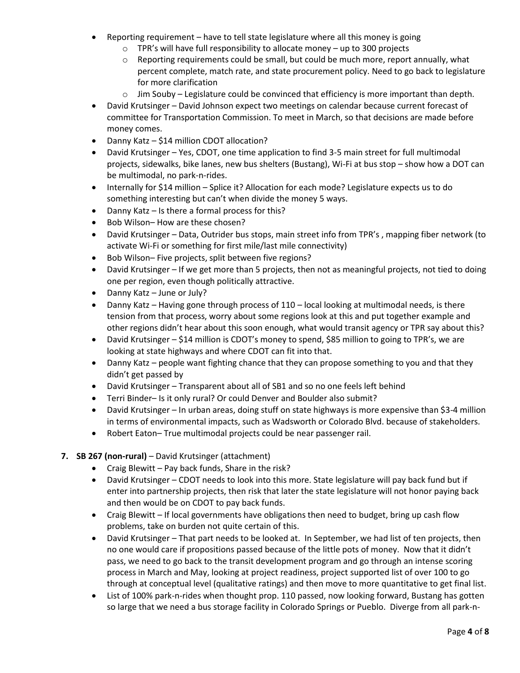- Reporting requirement have to tell state legislature where all this money is going
	- $\circ$  TPR's will have full responsibility to allocate money up to 300 projects
	- $\circ$  Reporting requirements could be small, but could be much more, report annually, what percent complete, match rate, and state procurement policy. Need to go back to legislature for more clarification
	- $\circ$  Jim Souby Legislature could be convinced that efficiency is more important than depth.
- David Krutsinger David Johnson expect two meetings on calendar because current forecast of committee for Transportation Commission. To meet in March, so that decisions are made before money comes.
- Danny Katz \$14 million CDOT allocation?
- David Krutsinger Yes, CDOT, one time application to find 3-5 main street for full multimodal projects, sidewalks, bike lanes, new bus shelters (Bustang), Wi-Fi at bus stop – show how a DOT can be multimodal, no park-n-rides.
- Internally for \$14 million Splice it? Allocation for each mode? Legislature expects us to do something interesting but can't when divide the money 5 ways.
- Danny Katz Is there a formal process for this?
- Bob Wilson-How are these chosen?
- David Krutsinger Data, Outrider bus stops, main street info from TPR's , mapping fiber network (to activate Wi-Fi or something for first mile/last mile connectivity)
- Bob Wilson– Five projects, split between five regions?
- David Krutsinger If we get more than 5 projects, then not as meaningful projects, not tied to doing one per region, even though politically attractive.
- Danny Katz June or July?
- Danny Katz Having gone through process of 110 local looking at multimodal needs, is there tension from that process, worry about some regions look at this and put together example and other regions didn't hear about this soon enough, what would transit agency or TPR say about this?
- David Krutsinger \$14 million is CDOT's money to spend, \$85 million to going to TPR's, we are looking at state highways and where CDOT can fit into that.
- Danny Katz people want fighting chance that they can propose something to you and that they didn't get passed by
- David Krutsinger Transparent about all of SB1 and so no one feels left behind
- Terri Binder– Is it only rural? Or could Denver and Boulder also submit?
- David Krutsinger In urban areas, doing stuff on state highways is more expensive than \$3-4 million in terms of environmental impacts, such as Wadsworth or Colorado Blvd. because of stakeholders.
- Robert Eaton– True multimodal projects could be near passenger rail.

## **7. SB 267 (non-rural)** – David Krutsinger (attachment)

- Craig Blewitt Pay back funds, Share in the risk?
- David Krutsinger CDOT needs to look into this more. State legislature will pay back fund but if enter into partnership projects, then risk that later the state legislature will not honor paying back and then would be on CDOT to pay back funds.
- Craig Blewitt If local governments have obligations then need to budget, bring up cash flow problems, take on burden not quite certain of this.
- David Krutsinger That part needs to be looked at. In September, we had list of ten projects, then no one would care if propositions passed because of the little pots of money. Now that it didn't pass, we need to go back to the transit development program and go through an intense scoring process in March and May, looking at project readiness, project supported list of over 100 to go through at conceptual level (qualitative ratings) and then move to more quantitative to get final list.
- List of 100% park-n-rides when thought prop. 110 passed, now looking forward, Bustang has gotten so large that we need a bus storage facility in Colorado Springs or Pueblo. Diverge from all park-n-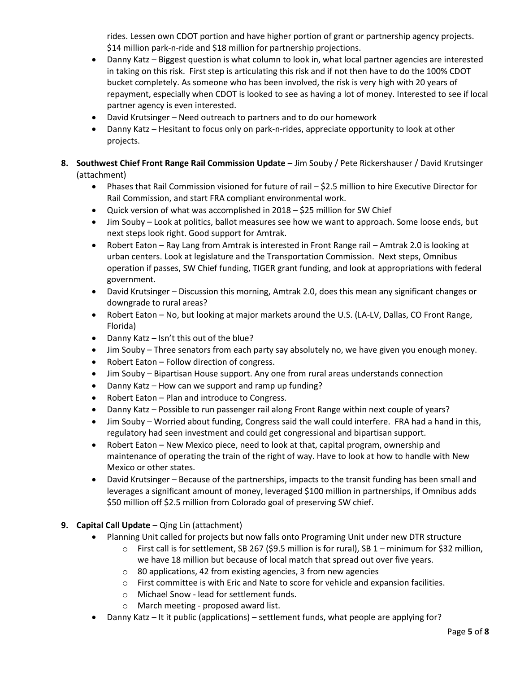rides. Lessen own CDOT portion and have higher portion of grant or partnership agency projects. \$14 million park-n-ride and \$18 million for partnership projections.

- Danny Katz Biggest question is what column to look in, what local partner agencies are interested in taking on this risk. First step is articulating this risk and if not then have to do the 100% CDOT bucket completely. As someone who has been involved, the risk is very high with 20 years of repayment, especially when CDOT is looked to see as having a lot of money. Interested to see if local partner agency is even interested.
- David Krutsinger Need outreach to partners and to do our homework
- Danny Katz Hesitant to focus only on park-n-rides, appreciate opportunity to look at other projects.
- **8. Southwest Chief Front Range Rail Commission Update** Jim Souby / Pete Rickershauser / David Krutsinger (attachment)
	- Phases that Rail Commission visioned for future of rail \$2.5 million to hire Executive Director for Rail Commission, and start FRA compliant environmental work.
	- Quick version of what was accomplished in 2018 \$25 million for SW Chief
	- Jim Souby Look at politics, ballot measures see how we want to approach. Some loose ends, but next steps look right. Good support for Amtrak.
	- Robert Eaton Ray Lang from Amtrak is interested in Front Range rail Amtrak 2.0 is looking at urban centers. Look at legislature and the Transportation Commission. Next steps, Omnibus operation if passes, SW Chief funding, TIGER grant funding, and look at appropriations with federal government.
	- David Krutsinger Discussion this morning, Amtrak 2.0, does this mean any significant changes or downgrade to rural areas?
	- Robert Eaton No, but looking at major markets around the U.S. (LA-LV, Dallas, CO Front Range, Florida)
	- Danny Katz Isn't this out of the blue?
	- Jim Souby Three senators from each party say absolutely no, we have given you enough money.
	- Robert Eaton Follow direction of congress.
	- Jim Souby Bipartisan House support. Any one from rural areas understands connection
	- Danny Katz How can we support and ramp up funding?
	- Robert Eaton Plan and introduce to Congress.
	- Danny Katz Possible to run passenger rail along Front Range within next couple of years?
	- Jim Souby Worried about funding, Congress said the wall could interfere. FRA had a hand in this, regulatory had seen investment and could get congressional and bipartisan support.
	- Robert Eaton New Mexico piece, need to look at that, capital program, ownership and maintenance of operating the train of the right of way. Have to look at how to handle with New Mexico or other states.
	- David Krutsinger Because of the partnerships, impacts to the transit funding has been small and leverages a significant amount of money, leveraged \$100 million in partnerships, if Omnibus adds \$50 million off \$2.5 million from Colorado goal of preserving SW chief.
- **9. Capital Call Update** Qing Lin (attachment)
	- Planning Unit called for projects but now falls onto Programing Unit under new DTR structure
		- $\circ$  First call is for settlement, SB 267 (\$9.5 million is for rural), SB 1 minimum for \$32 million, we have 18 million but because of local match that spread out over five years.
		- o 80 applications, 42 from existing agencies, 3 from new agencies
		- o First committee is with Eric and Nate to score for vehicle and expansion facilities.
		- o Michael Snow lead for settlement funds.
		- o March meeting proposed award list.
	- Danny Katz It it public (applications) settlement funds, what people are applying for?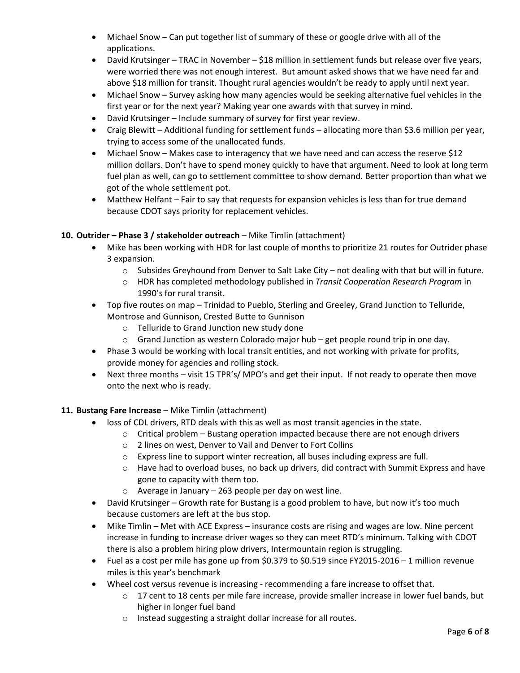- Michael Snow Can put together list of summary of these or google drive with all of the applications.
- David Krutsinger TRAC in November \$18 million in settlement funds but release over five years, were worried there was not enough interest. But amount asked shows that we have need far and above \$18 million for transit. Thought rural agencies wouldn't be ready to apply until next year.
- Michael Snow Survey asking how many agencies would be seeking alternative fuel vehicles in the first year or for the next year? Making year one awards with that survey in mind.
- David Krutsinger Include summary of survey for first year review.
- Craig Blewitt Additional funding for settlement funds allocating more than \$3.6 million per year, trying to access some of the unallocated funds.
- Michael Snow Makes case to interagency that we have need and can access the reserve \$12 million dollars. Don't have to spend money quickly to have that argument. Need to look at long term fuel plan as well, can go to settlement committee to show demand. Better proportion than what we got of the whole settlement pot.
- Matthew Helfant Fair to say that requests for expansion vehicles is less than for true demand because CDOT says priority for replacement vehicles.

## **10. Outrider – Phase 3 / stakeholder outreach** – Mike Timlin (attachment)

- Mike has been working with HDR for last couple of months to prioritize 21 routes for Outrider phase 3 expansion.
	- $\circ$  Subsides Greyhound from Denver to Salt Lake City not dealing with that but will in future.
	- o HDR has completed methodology published in *Transit Cooperation Research Program* in 1990's for rural transit.
- Top five routes on map Trinidad to Pueblo, Sterling and Greeley, Grand Junction to Telluride, Montrose and Gunnison, Crested Butte to Gunnison
	- o Telluride to Grand Junction new study done
	- $\circ$  Grand Junction as western Colorado major hub get people round trip in one day.
- Phase 3 would be working with local transit entities, and not working with private for profits, provide money for agencies and rolling stock.
- Next three months visit 15 TPR's/ MPO's and get their input. If not ready to operate then move onto the next who is ready.

## 11. **Bustang Fare Increase** – Mike Timlin (attachment)

- loss of CDL drivers, RTD deals with this as well as most transit agencies in the state.
	- o Critical problem Bustang operation impacted because there are not enough drivers
		- o 2 lines on west, Denver to Vail and Denver to Fort Collins
	- o Express line to support winter recreation, all buses including express are full.
	- $\circ$  Have had to overload buses, no back up drivers, did contract with Summit Express and have gone to capacity with them too.
	- o Average in January 263 people per day on west line.
- David Krutsinger Growth rate for Bustang is a good problem to have, but now it's too much because customers are left at the bus stop.
- Mike Timlin Met with ACE Express insurance costs are rising and wages are low. Nine percent increase in funding to increase driver wages so they can meet RTD's minimum. Talking with CDOT there is also a problem hiring plow drivers, Intermountain region is struggling.
- Fuel as a cost per mile has gone up from \$0.379 to \$0.519 since FY2015-2016 1 million revenue miles is this year's benchmark
- Wheel cost versus revenue is increasing recommending a fare increase to offset that.
	- o 17 cent to 18 cents per mile fare increase, provide smaller increase in lower fuel bands, but higher in longer fuel band
	- o Instead suggesting a straight dollar increase for all routes.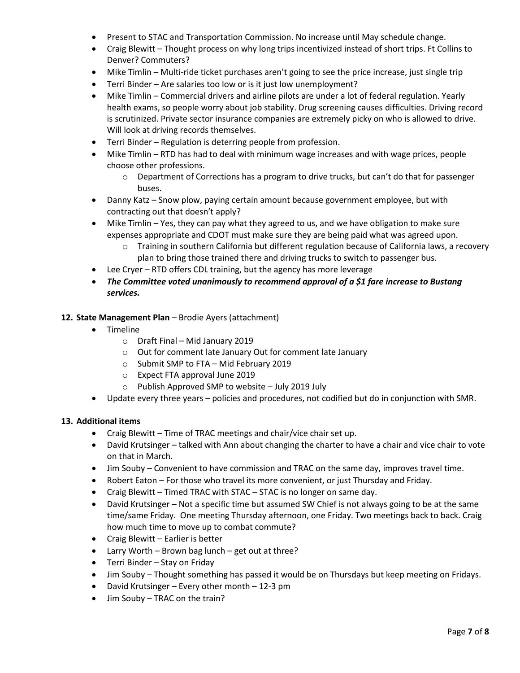- Present to STAC and Transportation Commission. No increase until May schedule change.
- Craig Blewitt Thought process on why long trips incentivized instead of short trips. Ft Collins to Denver? Commuters?
- Mike Timlin Multi-ride ticket purchases aren't going to see the price increase, just single trip
- Terri Binder Are salaries too low or is it just low unemployment?
- Mike Timlin Commercial drivers and airline pilots are under a lot of federal regulation. Yearly health exams, so people worry about job stability. Drug screening causes difficulties. Driving record is scrutinized. Private sector insurance companies are extremely picky on who is allowed to drive. Will look at driving records themselves.
- Terri Binder Regulation is deterring people from profession.
- Mike Timlin RTD has had to deal with minimum wage increases and with wage prices, people choose other professions.
	- $\circ$  Department of Corrections has a program to drive trucks, but can't do that for passenger buses.
- Danny Katz Snow plow, paying certain amount because government employee, but with contracting out that doesn't apply?
- Mike Timlin Yes, they can pay what they agreed to us, and we have obligation to make sure expenses appropriate and CDOT must make sure they are being paid what was agreed upon.
	- o Training in southern California but different regulation because of California laws, a recovery plan to bring those trained there and driving trucks to switch to passenger bus.
- Lee Cryer RTD offers CDL training, but the agency has more leverage
- *The Committee voted unanimously to recommend approval of a \$1 fare increase to Bustang services.*

## **12. State Management Plan** – Brodie Ayers (attachment)

- Timeline
	- o Draft Final Mid January 2019
	- o Out for comment late January Out for comment late January
	- o Submit SMP to FTA Mid February 2019
	- o Expect FTA approval June 2019
	- o Publish Approved SMP to website July 2019 July
- Update every three years policies and procedures, not codified but do in conjunction with SMR.

#### **13. Additional items**

- Craig Blewitt Time of TRAC meetings and chair/vice chair set up.
- David Krutsinger talked with Ann about changing the charter to have a chair and vice chair to vote on that in March.
- Jim Souby Convenient to have commission and TRAC on the same day, improves travel time.
- Robert Eaton For those who travel its more convenient, or just Thursday and Friday.
- Craig Blewitt Timed TRAC with STAC STAC is no longer on same day.
- David Krutsinger Not a specific time but assumed SW Chief is not always going to be at the same time/same Friday. One meeting Thursday afternoon, one Friday. Two meetings back to back. Craig how much time to move up to combat commute?
- Craig Blewitt Earlier is better
- Larry Worth Brown bag lunch get out at three?
- Terri Binder Stay on Friday
- Jim Souby Thought something has passed it would be on Thursdays but keep meeting on Fridays.
- David Krutsinger Every other month 12-3 pm
- Jim Souby TRAC on the train?